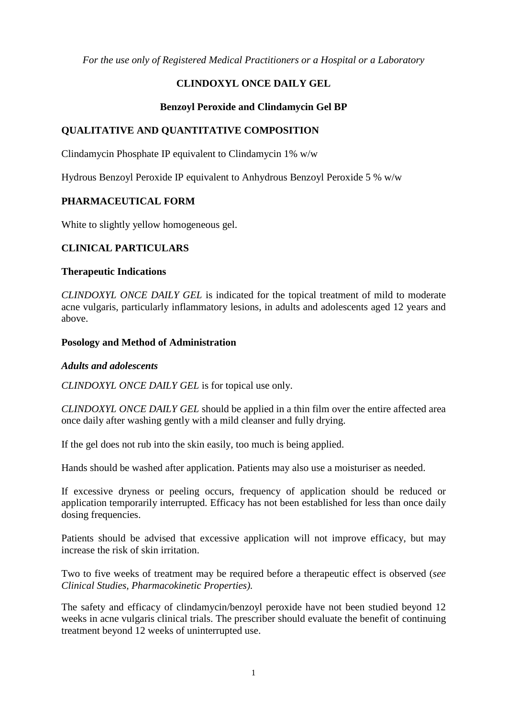*For the use only of Registered Medical Practitioners or a Hospital or a Laboratory* 

# **CLINDOXYL ONCE DAILY GEL**

## **Benzoyl Peroxide and Clindamycin Gel BP**

# **QUALITATIVE AND QUANTITATIVE COMPOSITION**

Clindamycin Phosphate IP equivalent to Clindamycin 1% w/w

Hydrous Benzoyl Peroxide IP equivalent to Anhydrous Benzoyl Peroxide 5 % w/w

## **PHARMACEUTICAL FORM**

White to slightly yellow homogeneous gel.

# **CLINICAL PARTICULARS**

### **Therapeutic Indications**

*CLINDOXYL ONCE DAILY GEL* is indicated for the topical treatment of mild to moderate acne vulgaris, particularly inflammatory lesions, in adults and adolescents aged 12 years and above.

### **Posology and Method of Administration**

### *Adults and adolescents*

*CLINDOXYL ONCE DAILY GEL* is for topical use only.

*CLINDOXYL ONCE DAILY GEL* should be applied in a thin film over the entire affected area once daily after washing gently with a mild cleanser and fully drying.

If the gel does not rub into the skin easily, too much is being applied.

Hands should be washed after application. Patients may also use a moisturiser as needed.

If excessive dryness or peeling occurs, frequency of application should be reduced or application temporarily interrupted. Efficacy has not been established for less than once daily dosing frequencies.

Patients should be advised that excessive application will not improve efficacy, but may increase the risk of skin irritation.

Two to five weeks of treatment may be required before a therapeutic effect is observed (*see Clinical Studies, Pharmacokinetic Properties).*

The safety and efficacy of clindamycin/benzoyl peroxide have not been studied beyond 12 weeks in acne vulgaris clinical trials. The prescriber should evaluate the benefit of continuing treatment beyond 12 weeks of uninterrupted use.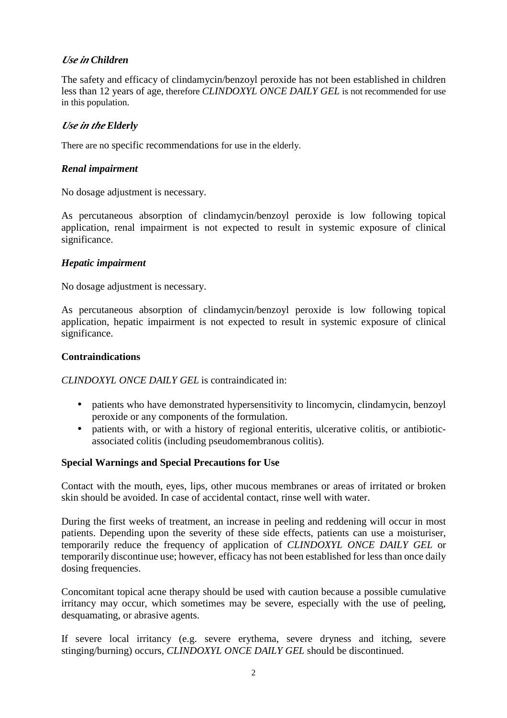# *Use in Children*

The safety and efficacy of clindamycin/benzoyl peroxide has not been established in children less than 12 years of age, therefore *CLINDOXYL ONCE DAILY GEL* is not recommended for use in this population.

# *Use in the Elderly*

There are no specific recommendations for use in the elderly.

## *Renal impairment*

No dosage adjustment is necessary.

As percutaneous absorption of clindamycin/benzoyl peroxide is low following topical application, renal impairment is not expected to result in systemic exposure of clinical significance.

## *Hepatic impairment*

No dosage adjustment is necessary.

As percutaneous absorption of clindamycin/benzoyl peroxide is low following topical application, hepatic impairment is not expected to result in systemic exposure of clinical significance.

#### **Contraindications**

*CLINDOXYL ONCE DAILY GEL* is contraindicated in:

- patients who have demonstrated hypersensitivity to lincomycin, clindamycin, benzoyl peroxide or any components of the formulation.
- patients with, or with a history of regional enteritis, ulcerative colitis, or antibioticassociated colitis (including pseudomembranous colitis).

### **Special Warnings and Special Precautions for Use**

Contact with the mouth, eyes, lips, other mucous membranes or areas of irritated or broken skin should be avoided. In case of accidental contact, rinse well with water.

During the first weeks of treatment, an increase in peeling and reddening will occur in most patients. Depending upon the severity of these side effects, patients can use a moisturiser, temporarily reduce the frequency of application of *CLINDOXYL ONCE DAILY GEL* or temporarily discontinue use; however, efficacy has not been established for less than once daily dosing frequencies.

Concomitant topical acne therapy should be used with caution because a possible cumulative irritancy may occur, which sometimes may be severe, especially with the use of peeling, desquamating, or abrasive agents.

If severe local irritancy (e.g. severe erythema, severe dryness and itching, severe stinging/burning) occurs, *CLINDOXYL ONCE DAILY GEL* should be discontinued.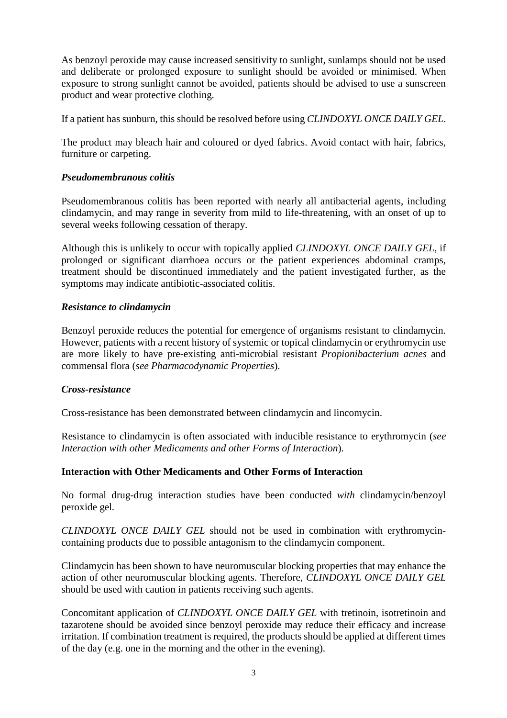As benzoyl peroxide may cause increased sensitivity to sunlight, sunlamps should not be used and deliberate or prolonged exposure to sunlight should be avoided or minimised. When exposure to strong sunlight cannot be avoided, patients should be advised to use a sunscreen product and wear protective clothing.

If a patient has sunburn, this should be resolved before using *CLINDOXYL ONCE DAILY GEL*.

The product may bleach hair and coloured or dyed fabrics. Avoid contact with hair, fabrics, furniture or carpeting.

### *Pseudomembranous colitis*

Pseudomembranous colitis has been reported with nearly all antibacterial agents, including clindamycin, and may range in severity from mild to life-threatening, with an onset of up to several weeks following cessation of therapy.

Although this is unlikely to occur with topically applied *CLINDOXYL ONCE DAILY GEL*, if prolonged or significant diarrhoea occurs or the patient experiences abdominal cramps, treatment should be discontinued immediately and the patient investigated further, as the symptoms may indicate antibiotic-associated colitis.

## *Resistance to clindamycin*

Benzoyl peroxide reduces the potential for emergence of organisms resistant to clindamycin. However, patients with a recent history of systemic or topical clindamycin or erythromycin use are more likely to have pre-existing anti-microbial resistant *Propionibacterium acnes* and commensal flora (*see Pharmacodynamic Properties*).

### *Cross-resistance*

Cross-resistance has been demonstrated between clindamycin and lincomycin.

Resistance to clindamycin is often associated with inducible resistance to erythromycin (*see Interaction with other Medicaments and other Forms of Interaction*).

### **Interaction with Other Medicaments and Other Forms of Interaction**

No formal drug-drug interaction studies have been conducted *with* clindamycin/benzoyl peroxide gel*.*

*CLINDOXYL ONCE DAILY GEL* should not be used in combination with erythromycincontaining products due to possible antagonism to the clindamycin component.

Clindamycin has been shown to have neuromuscular blocking properties that may enhance the action of other neuromuscular blocking agents. Therefore*, CLINDOXYL ONCE DAILY GEL* should be used with caution in patients receiving such agents.

Concomitant application of *CLINDOXYL ONCE DAILY GEL* with tretinoin, isotretinoin and tazarotene should be avoided since benzoyl peroxide may reduce their efficacy and increase irritation. If combination treatment is required, the products should be applied at different times of the day (e.g. one in the morning and the other in the evening).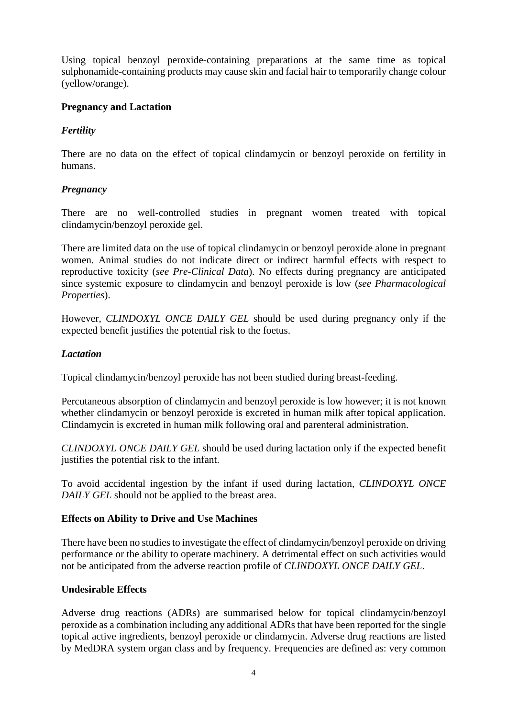Using topical benzoyl peroxide-containing preparations at the same time as topical sulphonamide-containing products may cause skin and facial hair to temporarily change colour (yellow/orange).

## **Pregnancy and Lactation**

# *Fertility*

There are no data on the effect of topical clindamycin or benzoyl peroxide on fertility in humans.

# *Pregnancy*

There are no well-controlled studies in pregnant women treated with topical clindamycin/benzoyl peroxide gel.

There are limited data on the use of topical clindamycin or benzoyl peroxide alone in pregnant women. Animal studies do not indicate direct or indirect harmful effects with respect to reproductive toxicity (*see Pre-Clinical Data*). No effects during pregnancy are anticipated since systemic exposure to clindamycin and benzoyl peroxide is low (*see Pharmacological Properties*).

However, *CLINDOXYL ONCE DAILY GEL* should be used during pregnancy only if the expected benefit justifies the potential risk to the foetus.

## *Lactation*

Topical clindamycin/benzoyl peroxide has not been studied during breast-feeding.

Percutaneous absorption of clindamycin and benzoyl peroxide is low however; it is not known whether clindamycin or benzoyl peroxide is excreted in human milk after topical application. Clindamycin is excreted in human milk following oral and parenteral administration.

*CLINDOXYL ONCE DAILY GEL* should be used during lactation only if the expected benefit justifies the potential risk to the infant.

To avoid accidental ingestion by the infant if used during lactation, *CLINDOXYL ONCE DAILY GEL* should not be applied to the breast area.

# **Effects on Ability to Drive and Use Machines**

There have been no studies to investigate the effect of clindamycin/benzoyl peroxide on driving performance or the ability to operate machinery. A detrimental effect on such activities would not be anticipated from the adverse reaction profile of *CLINDOXYL ONCE DAILY GEL*.

### **Undesirable Effects**

Adverse drug reactions (ADRs) are summarised below for topical clindamycin/benzoyl peroxide as a combination including any additional ADRs that have been reported for the single topical active ingredients, benzoyl peroxide or clindamycin. Adverse drug reactions are listed by MedDRA system organ class and by frequency. Frequencies are defined as: very common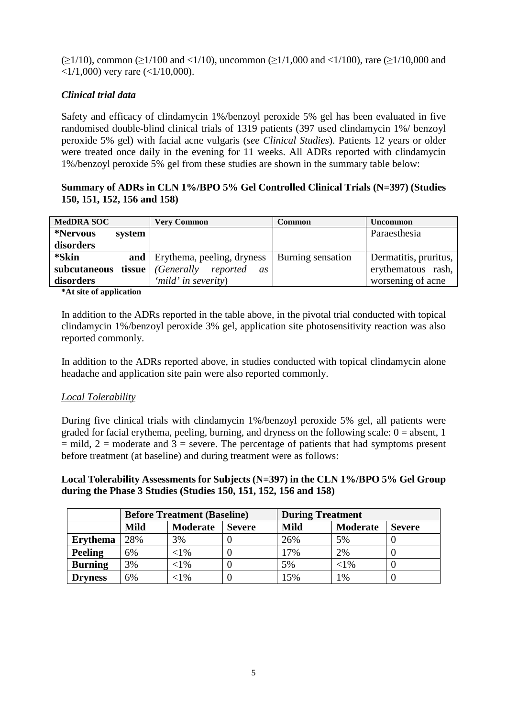$(\geq 1/10)$ , common ( $\geq 1/100$  and  $\lt 1/10$ ), uncommon ( $\geq 1/1,000$  and  $\lt 1/100$ ), rare ( $\geq 1/10,000$  and  $\langle 1/1,000 \rangle$  very rare ( $\langle 1/10,000 \rangle$ ).

## *Clinical trial data*

Safety and efficacy of clindamycin 1%/benzoyl peroxide 5% gel has been evaluated in five randomised double-blind clinical trials of 1319 patients (397 used clindamycin 1%/ benzoyl peroxide 5% gel) with facial acne vulgaris (*see Clinical Studies*). Patients 12 years or older were treated once daily in the evening for 11 weeks. All ADRs reported with clindamycin 1%/benzoyl peroxide 5% gel from these studies are shown in the summary table below:

## **Summary of ADRs in CLN 1%/BPO 5% Gel Controlled Clinical Trials (N=397) (Studies 150, 151, 152, 156 and 158)**

| <b>MedDRA SOC</b>  | <b>Very Common</b>                      | <b>Common</b>            | <b>Uncommon</b>       |
|--------------------|-----------------------------------------|--------------------------|-----------------------|
| *Nervous<br>system |                                         |                          | Paraesthesia          |
| disorders          |                                         |                          |                       |
| *Skin              | <b>and</b>   Erythema, peeling, dryness | <b>Burning sensation</b> | Dermatitis, pruritus, |
| subcutaneous       | <b>tissue</b> Generally reported<br>as  |                          | erythematous rash,    |
| disorders          | 'mild' in severity)                     |                          | worsening of acne     |

**\*At site of application** 

In addition to the ADRs reported in the table above, in the pivotal trial conducted with topical clindamycin 1%/benzoyl peroxide 3% gel, application site photosensitivity reaction was also reported commonly.

In addition to the ADRs reported above, in studies conducted with topical clindamycin alone headache and application site pain were also reported commonly.

### *Local Tolerability*

During five clinical trials with clindamycin 1%/benzoyl peroxide 5% gel, all patients were graded for facial erythema, peeling, burning, and dryness on the following scale:  $0 =$  absent, 1  $=$  mild, 2 = moderate and 3 = severe. The percentage of patients that had symptoms present before treatment (at baseline) and during treatment were as follows:

**Local Tolerability Assessments for Subjects (N=397) in the CLN 1%/BPO 5% Gel Group during the Phase 3 Studies (Studies 150, 151, 152, 156 and 158)** 

|                 | <b>Before Treatment (Baseline)</b> |           | <b>During Treatment</b> |             |                 |               |
|-----------------|------------------------------------|-----------|-------------------------|-------------|-----------------|---------------|
|                 | <b>Mild</b>                        | Moderate  | <b>Severe</b>           | <b>Mild</b> | <b>Moderate</b> | <b>Severe</b> |
| <b>Erythema</b> | 28%                                | 3%        |                         | 26%         | 5%              |               |
| Peeling         | 6%                                 | $< 1\%$   |                         | 17%         | 2%              |               |
| <b>Burning</b>  | 3%                                 | $<$ 1%    |                         | 5%          | ${<}1\%$        |               |
| <b>Dryness</b>  | 6%                                 | $<$ l $%$ |                         | 15%         | 1%              |               |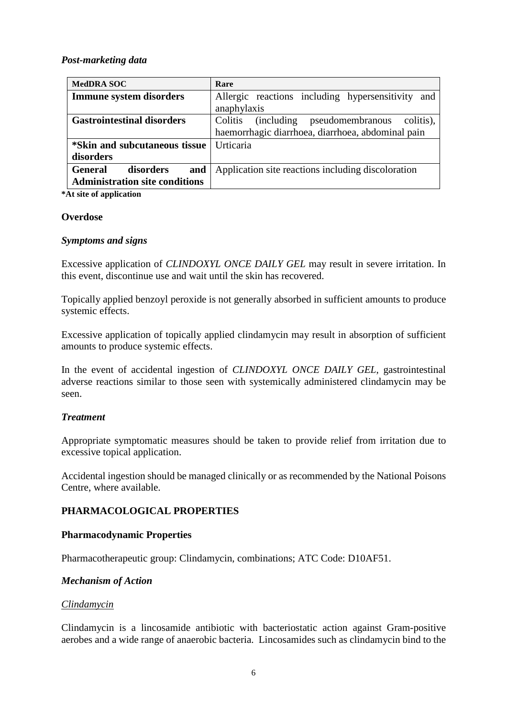## *Post-marketing data*

| <b>MedDRA SOC</b>                     | Rare                                                           |  |  |
|---------------------------------------|----------------------------------------------------------------|--|--|
| <b>Immune system disorders</b>        | Allergic reactions including hypersensitivity<br>and           |  |  |
|                                       | anaphylaxis                                                    |  |  |
| <b>Gastrointestinal disorders</b>     | Colitis<br><i>(including)</i><br>pseudomembranous<br>colitis), |  |  |
|                                       | haemorrhagic diarrhoea, diarrhoea, abdominal pain              |  |  |
| *Skin and subcutaneous tissue         | Urticaria                                                      |  |  |
| disorders                             |                                                                |  |  |
| disorders<br>and<br><b>General</b>    | Application site reactions including discoloration             |  |  |
| <b>Administration site conditions</b> |                                                                |  |  |

**\*At site of application** 

### **Overdose**

### *Symptoms and signs*

Excessive application of *CLINDOXYL ONCE DAILY GEL* may result in severe irritation. In this event, discontinue use and wait until the skin has recovered.

Topically applied benzoyl peroxide is not generally absorbed in sufficient amounts to produce systemic effects.

Excessive application of topically applied clindamycin may result in absorption of sufficient amounts to produce systemic effects.

In the event of accidental ingestion of *CLINDOXYL ONCE DAILY GEL*, gastrointestinal adverse reactions similar to those seen with systemically administered clindamycin may be seen.

### *Treatment*

Appropriate symptomatic measures should be taken to provide relief from irritation due to excessive topical application.

Accidental ingestion should be managed clinically or as recommended by the National Poisons Centre, where available.

# **PHARMACOLOGICAL PROPERTIES**

### **Pharmacodynamic Properties**

Pharmacotherapeutic group: Clindamycin, combinations; ATC Code: D10AF51.

# *Mechanism of Action*

### *Clindamycin*

Clindamycin is a lincosamide antibiotic with bacteriostatic action against Gram-positive aerobes and a wide range of anaerobic bacteria. Lincosamides such as clindamycin bind to the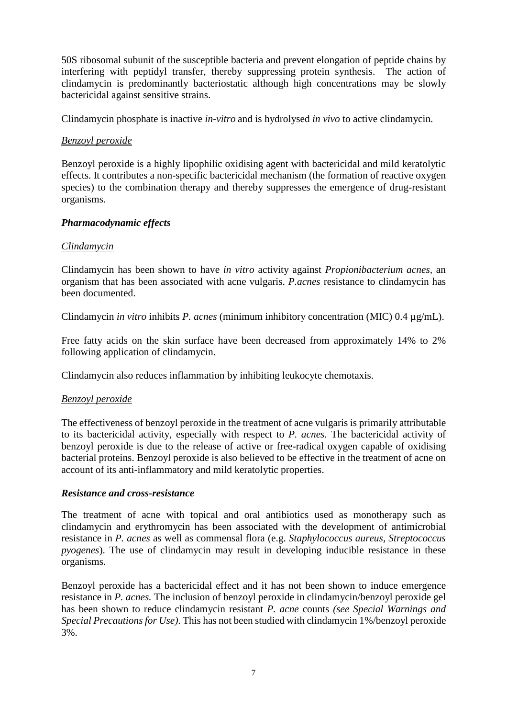50S ribosomal subunit of the susceptible bacteria and prevent elongation of peptide chains by interfering with peptidyl transfer, thereby suppressing protein synthesis. The action of clindamycin is predominantly bacteriostatic although high concentrations may be slowly bactericidal against sensitive strains.

Clindamycin phosphate is inactive *in-vitro* and is hydrolysed *in vivo* to active clindamycin.

## *Benzoyl peroxide*

Benzoyl peroxide is a highly lipophilic oxidising agent with bactericidal and mild keratolytic effects. It contributes a non-specific bactericidal mechanism (the formation of reactive oxygen species) to the combination therapy and thereby suppresses the emergence of drug-resistant organisms.

## *Pharmacodynamic effects*

## *Clindamycin*

Clindamycin has been shown to have *in vitro* activity against *Propionibacterium acnes,* an organism that has been associated with acne vulgaris. *P.acnes* resistance to clindamycin has been documented.

Clindamycin *in vitro* inhibits *P. acnes* (minimum inhibitory concentration (MIC) 0.4 µg/mL).

Free fatty acids on the skin surface have been decreased from approximately 14% to 2% following application of clindamycin.

Clindamycin also reduces inflammation by inhibiting leukocyte chemotaxis.

### *Benzoyl peroxide*

The effectiveness of benzoyl peroxide in the treatment of acne vulgaris is primarily attributable to its bactericidal activity, especially with respect to *P. acnes.* The bactericidal activity of benzoyl peroxide is due to the release of active or free-radical oxygen capable of oxidising bacterial proteins. Benzoyl peroxide is also believed to be effective in the treatment of acne on account of its anti-inflammatory and mild keratolytic properties.

### *Resistance and cross-resistance*

The treatment of acne with topical and oral antibiotics used as monotherapy such as clindamycin and erythromycin has been associated with the development of antimicrobial resistance in *P. acnes* as well as commensal flora (e.g. *Staphylococcus aureus, Streptococcus pyogenes*). The use of clindamycin may result in developing inducible resistance in these organisms.

Benzoyl peroxide has a bactericidal effect and it has not been shown to induce emergence resistance in *P. acnes.* The inclusion of benzoyl peroxide in clindamycin/benzoyl peroxide gel has been shown to reduce clindamycin resistant *P. acne* counts *(see Special Warnings and Special Precautions for Use)*. This has not been studied with clindamycin 1%/benzoyl peroxide 3%.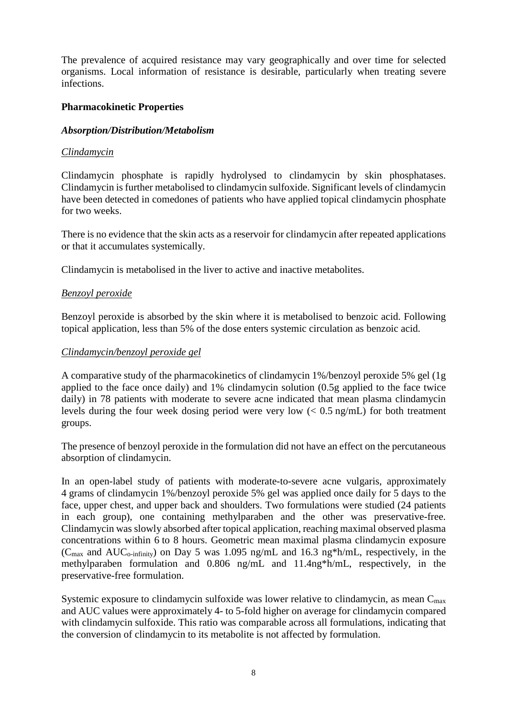The prevalence of acquired resistance may vary geographically and over time for selected organisms. Local information of resistance is desirable, particularly when treating severe infections.

## **Pharmacokinetic Properties**

### *Absorption/Distribution/Metabolism*

### *Clindamycin*

Clindamycin phosphate is rapidly hydrolysed to clindamycin by skin phosphatases. Clindamycin is further metabolised to clindamycin sulfoxide. Significant levels of clindamycin have been detected in comedones of patients who have applied topical clindamycin phosphate for two weeks.

There is no evidence that the skin acts as a reservoir for clindamycin after repeated applications or that it accumulates systemically.

Clindamycin is metabolised in the liver to active and inactive metabolites.

## *Benzoyl peroxide*

Benzoyl peroxide is absorbed by the skin where it is metabolised to benzoic acid. Following topical application, less than 5% of the dose enters systemic circulation as benzoic acid.

### *Clindamycin/benzoyl peroxide gel*

A comparative study of the pharmacokinetics of clindamycin 1%/benzoyl peroxide 5% gel (1g applied to the face once daily) and 1% clindamycin solution (0.5g applied to the face twice daily) in 78 patients with moderate to severe acne indicated that mean plasma clindamycin levels during the four week dosing period were very low  $\langle 0.5 \text{ ng/mL} \rangle$  for both treatment groups.

The presence of benzoyl peroxide in the formulation did not have an effect on the percutaneous absorption of clindamycin.

In an open-label study of patients with moderate-to-severe acne vulgaris, approximately 4 grams of clindamycin 1%/benzoyl peroxide 5% gel was applied once daily for 5 days to the face, upper chest, and upper back and shoulders. Two formulations were studied (24 patients in each group), one containing methylparaben and the other was preservative-free. Clindamycin was slowly absorbed after topical application, reaching maximal observed plasma concentrations within 6 to 8 hours. Geometric mean maximal plasma clindamycin exposure ( $C_{\text{max}}$  and AU $C_{\text{o-infinite}}$ ) on Day 5 was 1.095 ng/mL and 16.3 ng\*h/mL, respectively, in the methylparaben formulation and 0.806 ng/mL and 11.4ng\*h/mL, respectively, in the preservative-free formulation.

Systemic exposure to clindamycin sulfoxide was lower relative to clindamycin, as mean  $C_{\text{max}}$ and AUC values were approximately 4- to 5-fold higher on average for clindamycin compared with clindamycin sulfoxide. This ratio was comparable across all formulations, indicating that the conversion of clindamycin to its metabolite is not affected by formulation.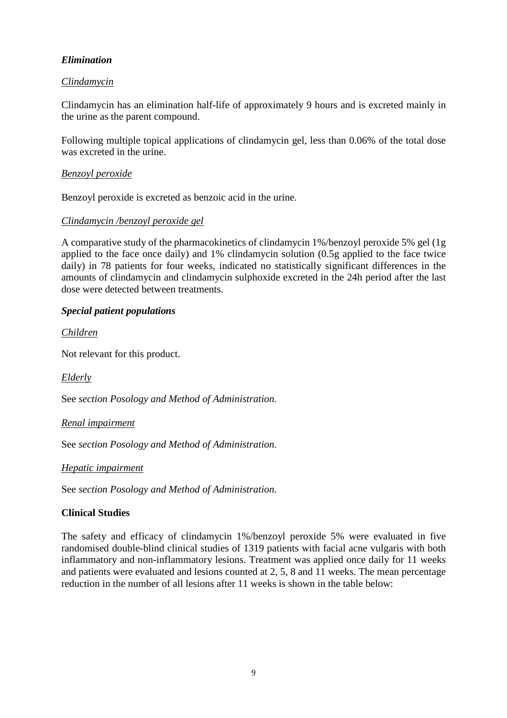# *Elimination*

# *Clindamycin*

Clindamycin has an elimination half-life of approximately 9 hours and is excreted mainly in the urine as the parent compound.

Following multiple topical applications of clindamycin gel, less than 0.06% of the total dose was excreted in the urine.

## *Benzoyl peroxide*

Benzoyl peroxide is excreted as benzoic acid in the urine.

# *Clindamycin /benzoyl peroxide gel*

A comparative study of the pharmacokinetics of clindamycin 1%/benzoyl peroxide 5% gel (1g applied to the face once daily) and 1% clindamycin solution (0.5g applied to the face twice daily) in 78 patients for four weeks, indicated no statistically significant differences in the amounts of clindamycin and clindamycin sulphoxide excreted in the 24h period after the last dose were detected between treatments.

## *Special patient populations*

*Children* 

Not relevant for this product.

*Elderly* 

See *section Posology and Method of Administration.* 

*Renal impairment* 

See *section Posology and Method of Administration.* 

*Hepatic impairment* 

See *section Posology and Method of Administration.* 

# **Clinical Studies**

The safety and efficacy of clindamycin 1%/benzoyl peroxide 5% were evaluated in five randomised double-blind clinical studies of 1319 patients with facial acne vulgaris with both inflammatory and non-inflammatory lesions. Treatment was applied once daily for 11 weeks and patients were evaluated and lesions counted at 2, 5, 8 and 11 weeks. The mean percentage reduction in the number of all lesions after 11 weeks is shown in the table below: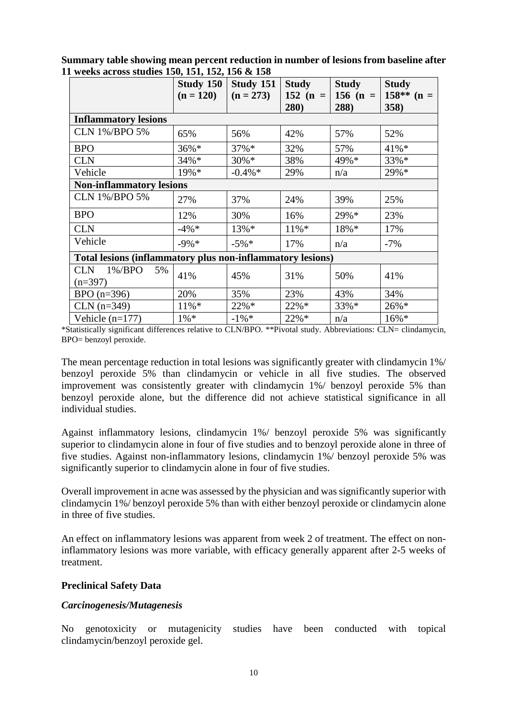|                                                            | Study 150<br>$(n = 120)$ | Study 151<br>$(n = 273)$ | <b>Study</b><br>152 (n = $\vert$<br>280) | <b>Study</b><br>$156$ (n =<br>288) | <b>Study</b><br>$158**$ (n =<br>358) |  |  |
|------------------------------------------------------------|--------------------------|--------------------------|------------------------------------------|------------------------------------|--------------------------------------|--|--|
| <b>Inflammatory lesions</b>                                |                          |                          |                                          |                                    |                                      |  |  |
| <b>CLN 1%/BPO 5%</b>                                       | 65%                      | 56%                      | 42%                                      | 57%                                | 52%                                  |  |  |
| <b>BPO</b>                                                 | 36%*                     | 37%*                     | 32%                                      | 57%                                | 41%*                                 |  |  |
| <b>CLN</b>                                                 | 34%*                     | $30\% *$                 | 38%                                      | 49%*                               | 33%*                                 |  |  |
| Vehicle                                                    | 19%*                     | $-0.4\% *$               | 29%                                      | n/a                                | 29%*                                 |  |  |
| <b>Non-inflammatory lesions</b>                            |                          |                          |                                          |                                    |                                      |  |  |
| <b>CLN 1%/BPO 5%</b>                                       | 27%                      | 37%                      | 24%                                      | 39%                                | 25%                                  |  |  |
| <b>BPO</b>                                                 | 12%                      | 30%                      | 16%                                      | 29%*                               | 23%                                  |  |  |
| <b>CLN</b>                                                 | $-4\%$ *                 | $13\% *$                 | $11\%*$                                  | 18%*                               | 17%                                  |  |  |
| Vehicle                                                    | $-9\% *$                 | $-5\%$ *                 | 17%                                      | n/a                                | $-7%$                                |  |  |
| Total lesions (inflammatory plus non-inflammatory lesions) |                          |                          |                                          |                                    |                                      |  |  |
| $1\%$ /BPO<br>5%<br><b>CLN</b><br>$(n=397)$                | 41%                      | 45%                      | 31%                                      | 50%                                | 41%                                  |  |  |
| $BPO(n=396)$                                               | 20%                      | 35%                      | 23%                                      | 43%                                | 34%                                  |  |  |
| $CLN$ (n=349)                                              | $11\% *$                 | 22%*                     | 22%*                                     | 33%*                               | 26%*                                 |  |  |
| Vehicle $(n=177)$                                          | $1\% *$                  | $-1\%$ *                 | 22%*                                     | n/a                                | $16\%*$                              |  |  |

**Summary table showing mean percent reduction in number of lesions from baseline after 11 weeks across studies 150, 151, 152, 156 & 158** 

\*Statistically significant differences relative to CLN/BPO. \*\*Pivotal study. Abbreviations: CLN= clindamycin, BPO= benzoyl peroxide.

The mean percentage reduction in total lesions was significantly greater with clindamycin 1%/ benzoyl peroxide 5% than clindamycin or vehicle in all five studies. The observed improvement was consistently greater with clindamycin 1%/ benzoyl peroxide 5% than benzoyl peroxide alone, but the difference did not achieve statistical significance in all individual studies.

Against inflammatory lesions, clindamycin 1%/ benzoyl peroxide 5% was significantly superior to clindamycin alone in four of five studies and to benzoyl peroxide alone in three of five studies. Against non-inflammatory lesions, clindamycin 1%/ benzoyl peroxide 5% was significantly superior to clindamycin alone in four of five studies.

Overall improvement in acne was assessed by the physician and was significantly superior with clindamycin 1%/ benzoyl peroxide 5% than with either benzoyl peroxide or clindamycin alone in three of five studies.

An effect on inflammatory lesions was apparent from week 2 of treatment. The effect on noninflammatory lesions was more variable, with efficacy generally apparent after 2-5 weeks of treatment.

### **Preclinical Safety Data**

### *Carcinogenesis/Mutagenesis*

No genotoxicity or mutagenicity studies have been conducted with topical clindamycin/benzoyl peroxide gel.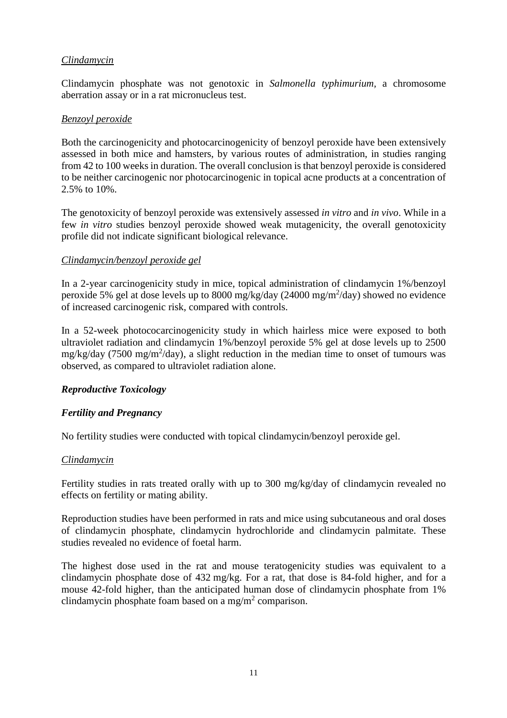## *Clindamycin*

Clindamycin phosphate was not genotoxic in *Salmonella typhimurium,* a chromosome aberration assay or in a rat micronucleus test.

### *Benzoyl peroxide*

Both the carcinogenicity and photocarcinogenicity of benzoyl peroxide have been extensively assessed in both mice and hamsters, by various routes of administration, in studies ranging from 42 to 100 weeks in duration. The overall conclusion is that benzoyl peroxide is considered to be neither carcinogenic nor photocarcinogenic in topical acne products at a concentration of 2.5% to 10%.

The genotoxicity of benzoyl peroxide was extensively assessed *in vitro* and *in vivo*. While in a few *in vitro* studies benzoyl peroxide showed weak mutagenicity, the overall genotoxicity profile did not indicate significant biological relevance.

## *Clindamycin/benzoyl peroxide gel*

In a 2-year carcinogenicity study in mice, topical administration of clindamycin 1%/benzoyl peroxide 5% gel at dose levels up to 8000 mg/kg/day (24000 mg/m<sup>2</sup>/day) showed no evidence of increased carcinogenic risk, compared with controls.

In a 52-week photococarcinogenicity study in which hairless mice were exposed to both ultraviolet radiation and clindamycin 1%/benzoyl peroxide 5% gel at dose levels up to 2500 mg/kg/day (7500 mg/m<sup>2</sup>/day), a slight reduction in the median time to onset of tumours was observed, as compared to ultraviolet radiation alone.

# *Reproductive Toxicology*

### *Fertility and Pregnancy*

No fertility studies were conducted with topical clindamycin/benzoyl peroxide gel.

### *Clindamycin*

Fertility studies in rats treated orally with up to 300 mg/kg/day of clindamycin revealed no effects on fertility or mating ability.

Reproduction studies have been performed in rats and mice using subcutaneous and oral doses of clindamycin phosphate, clindamycin hydrochloride and clindamycin palmitate. These studies revealed no evidence of foetal harm.

The highest dose used in the rat and mouse teratogenicity studies was equivalent to a clindamycin phosphate dose of 432 mg/kg. For a rat, that dose is 84-fold higher, and for a mouse 42-fold higher, than the anticipated human dose of clindamycin phosphate from 1% clindamycin phosphate foam based on a mg/m<sup>2</sup> comparison.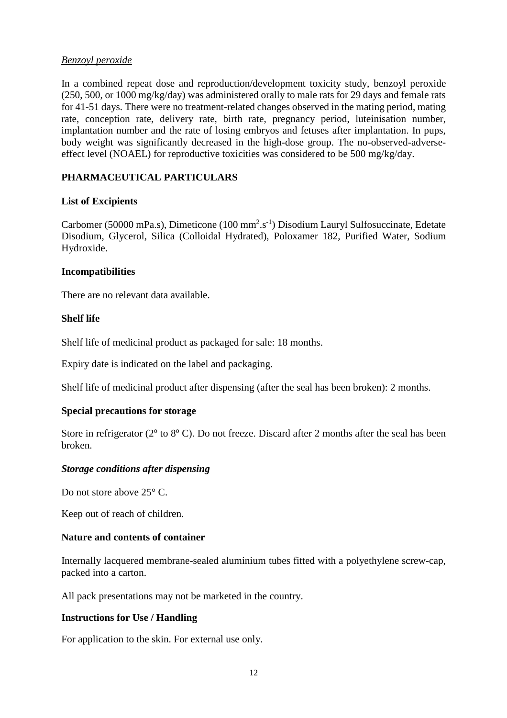## *Benzoyl peroxide*

In a combined repeat dose and reproduction/development toxicity study, benzoyl peroxide (250, 500, or 1000 mg/kg/day) was administered orally to male rats for 29 days and female rats for 41-51 days. There were no treatment-related changes observed in the mating period, mating rate, conception rate, delivery rate, birth rate, pregnancy period, luteinisation number, implantation number and the rate of losing embryos and fetuses after implantation. In pups, body weight was significantly decreased in the high-dose group. The no-observed-adverseeffect level (NOAEL) for reproductive toxicities was considered to be 500 mg/kg/day.

# **PHARMACEUTICAL PARTICULARS**

## **List of Excipients**

Carbomer (50000 mPa.s), Dimeticone (100 mm<sup>2</sup>.s<sup>-1</sup>) Disodium Lauryl Sulfosuccinate, Edetate Disodium, Glycerol, Silica (Colloidal Hydrated), Poloxamer 182, Purified Water, Sodium Hydroxide.

### **Incompatibilities**

There are no relevant data available.

## **Shelf life**

Shelf life of medicinal product as packaged for sale: 18 months.

Expiry date is indicated on the label and packaging.

Shelf life of medicinal product after dispensing (after the seal has been broken): 2 months.

### **Special precautions for storage**

Store in refrigerator ( $2^{\circ}$  to  $8^{\circ}$  C). Do not freeze. Discard after 2 months after the seal has been broken.

# *Storage conditions after dispensing*

Do not store above 25<sup>°</sup> C.

Keep out of reach of children.

### **Nature and contents of container**

Internally lacquered membrane-sealed aluminium tubes fitted with a polyethylene screw-cap, packed into a carton.

All pack presentations may not be marketed in the country.

### **Instructions for Use / Handling**

For application to the skin. For external use only.